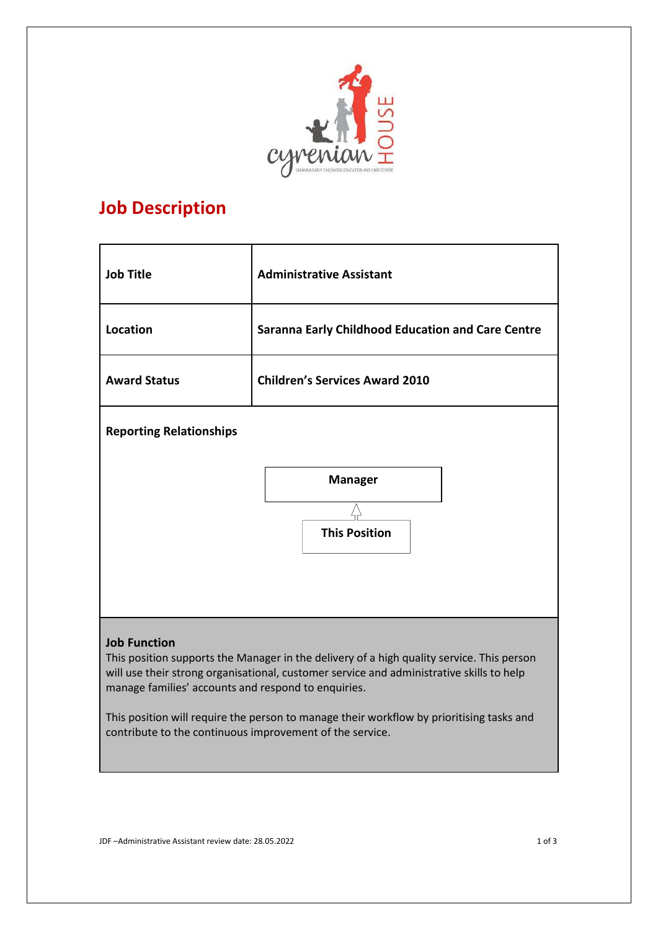

# **Job Description**

| <b>Job Title</b>                                                                                                                                                                                                                                                                                                                                                                                                            | <b>Administrative Assistant</b>                          |
|-----------------------------------------------------------------------------------------------------------------------------------------------------------------------------------------------------------------------------------------------------------------------------------------------------------------------------------------------------------------------------------------------------------------------------|----------------------------------------------------------|
| Location                                                                                                                                                                                                                                                                                                                                                                                                                    | <b>Saranna Early Childhood Education and Care Centre</b> |
| <b>Award Status</b>                                                                                                                                                                                                                                                                                                                                                                                                         | <b>Children's Services Award 2010</b>                    |
| <b>Reporting Relationships</b>                                                                                                                                                                                                                                                                                                                                                                                              |                                                          |
|                                                                                                                                                                                                                                                                                                                                                                                                                             | <b>Manager</b><br><b>This Position</b>                   |
| <b>Job Function</b><br>This position supports the Manager in the delivery of a high quality service. This person<br>will use their strong organisational, customer service and administrative skills to help<br>manage families' accounts and respond to enquiries.<br>This position will require the person to manage their workflow by prioritising tasks and<br>contribute to the continuous improvement of the service. |                                                          |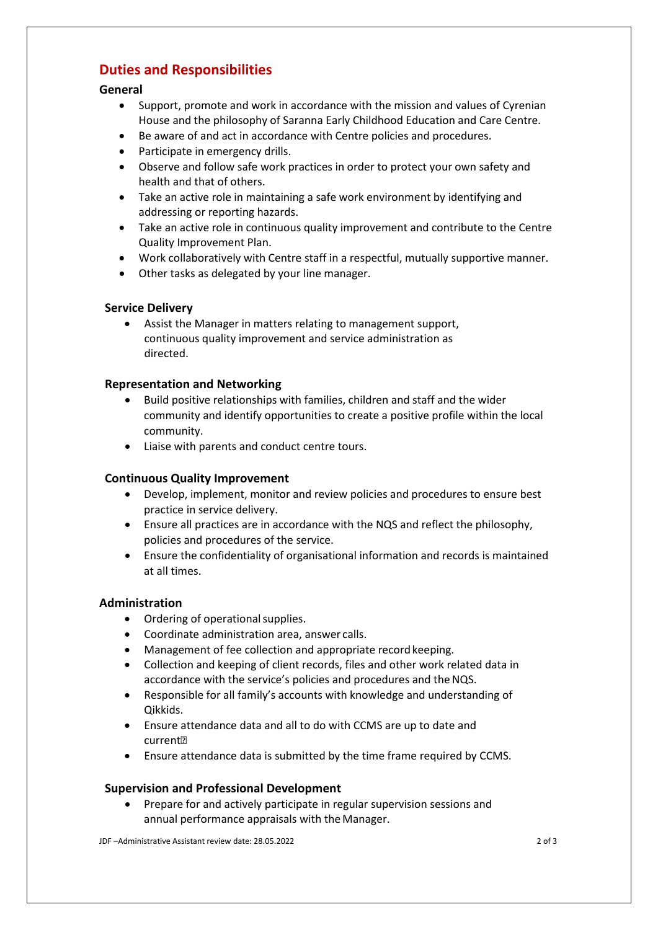# **Duties and Responsibilities**

## **General**

- Support, promote and work in accordance with the mission and values of Cyrenian House and the philosophy of Saranna Early Childhood Education and Care Centre.
- Be aware of and act in accordance with Centre policies and procedures.
- Participate in emergency drills.
- Observe and follow safe work practices in order to protect your own safety and health and that of others.
- Take an active role in maintaining a safe work environment by identifying and addressing or reporting hazards.
- Take an active role in continuous quality improvement and contribute to the Centre Quality Improvement Plan.
- Work collaboratively with Centre staff in a respectful, mutually supportive manner.
- Other tasks as delegated by your line manager.

#### **Service Delivery**

• Assist the Manager in matters relating to management support, continuous quality improvement and service administration as directed.

#### **Representation and Networking**

- Build positive relationships with families, children and staff and the wider community and identify opportunities to create a positive profile within the local community.
- Liaise with parents and conduct centre tours.

## **Continuous Quality Improvement**

- Develop, implement, monitor and review policies and procedures to ensure best practice in service delivery.
- Ensure all practices are in accordance with the NQS and reflect the philosophy, policies and procedures of the service.
- Ensure the confidentiality of organisational information and records is maintained at all times.

#### **Administration**

- Ordering of operational supplies.
- Coordinate administration area, answer calls.
- Management of fee collection and appropriate record keeping.
- Collection and keeping of client records, files and other work related data in accordance with the service's policies and procedures and the NQS.
- Responsible for all family's accounts with knowledge and understanding of Qikkids.
- Ensure attendance data and all to do with CCMS are up to date and current
- Ensure attendance data is submitted by the time frame required by CCMS.

#### **Supervision and Professional Development**

• Prepare for and actively participate in regular supervision sessions and annual performance appraisals with theManager.